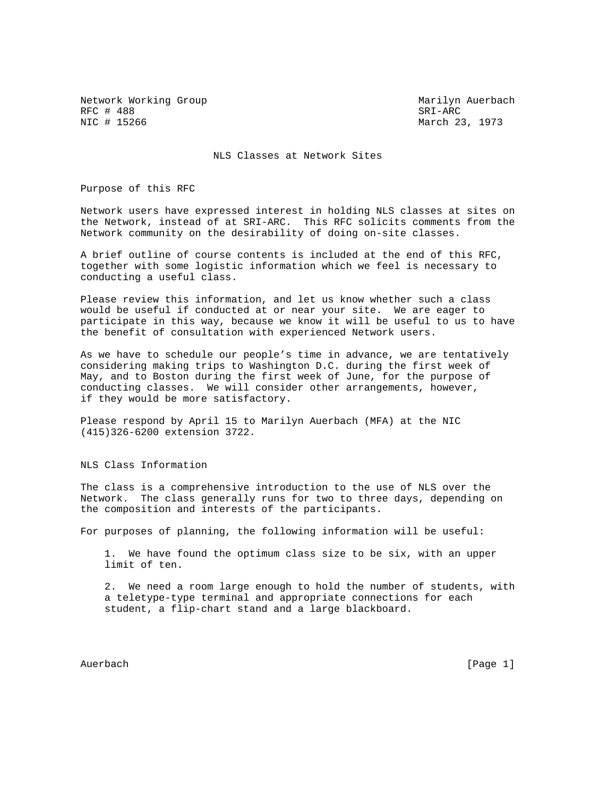Network Working Group Marilyn Auerbach RFC # 488 SRI-ARC # 15266 SRI-ARC # 15266 SRI-ARC # 15266 SRI-ARC # 15266 SRI-ARC # 15266 SRI-ARC # 15266 SRI-ARC # 15266 SRI-ARC # 15266 SRI-ARC # 15266 SRI-ARC # 15266 SRI-ARC # 15266 SRI-ARC # 15266 SRI-ARC # 15266 SRI-

March 23, 1973

NLS Classes at Network Sites

Purpose of this RFC

Network users have expressed interest in holding NLS classes at sites on the Network, instead of at SRI-ARC. This RFC solicits comments from the Network community on the desirability of doing on-site classes.

A brief outline of course contents is included at the end of this RFC, together with some logistic information which we feel is necessary to conducting a useful class.

Please review this information, and let us know whether such a class would be useful if conducted at or near your site. We are eager to participate in this way, because we know it will be useful to us to have the benefit of consultation with experienced Network users.

As we have to schedule our people's time in advance, we are tentatively considering making trips to Washington D.C. during the first week of May, and to Boston during the first week of June, for the purpose of conducting classes. We will consider other arrangements, however, if they would be more satisfactory.

Please respond by April 15 to Marilyn Auerbach (MFA) at the NIC (415)326-6200 extension 3722.

NLS Class Information

The class is a comprehensive introduction to the use of NLS over the Network. The class generally runs for two to three days, depending on the composition and interests of the participants.

For purposes of planning, the following information will be useful:

 1. We have found the optimum class size to be six, with an upper limit of ten.

 2. We need a room large enough to hold the number of students, with a teletype-type terminal and appropriate connections for each student, a flip-chart stand and a large blackboard.

Auerbach [Page 1]